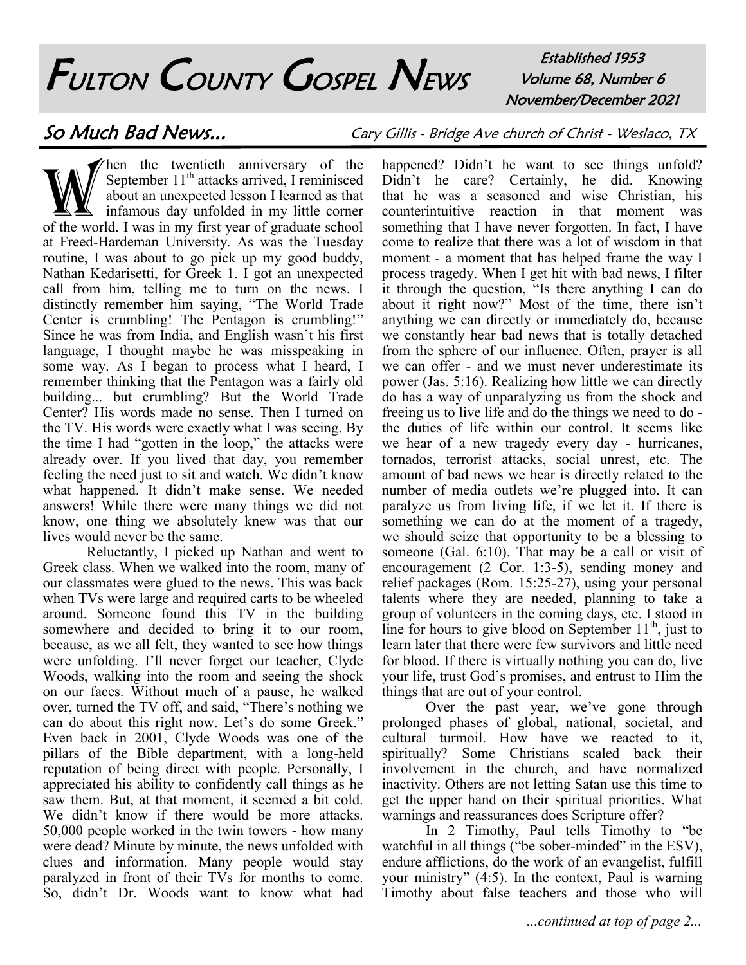# FULTON COUNTY GOSPEL NEWS

Established 1953 Volume 68, Number 6 November/December 2021

So Much Bad News... Cary Gillis - Bridge Ave church of Christ - Weslaco, TX

W hen the twentieth anniversary of the<br>September 11<sup>th</sup> attacks arrived, I reminisced<br>about an unexpected lesson I learned as that<br>infamous day unfolded in my little corner<br>of the world. I was in my first year of graduate Then the twentieth anniversary of the September  $11<sup>th</sup>$  attacks arrived, I reminisced about an unexpected lesson I learned as that Infamous day unfolded in my little corner at Freed-Hardeman University. As was the Tuesday routine, I was about to go pick up my good buddy, Nathan Kedarisetti, for Greek 1. I got an unexpected call from him, telling me to turn on the news. I distinctly remember him saying, "The World Trade Center is crumbling! The Pentagon is crumbling!" Since he was from India, and English wasn't his first language, I thought maybe he was misspeaking in some way. As I began to process what I heard, I remember thinking that the Pentagon was a fairly old building... but crumbling? But the World Trade Center? His words made no sense. Then I turned on the TV. His words were exactly what I was seeing. By the time I had "gotten in the loop," the attacks were already over. If you lived that day, you remember feeling the need just to sit and watch. We didn't know what happened. It didn't make sense. We needed answers! While there were many things we did not know, one thing we absolutely knew was that our lives would never be the same.

Reluctantly, I picked up Nathan and went to Greek class. When we walked into the room, many of our classmates were glued to the news. This was back when TVs were large and required carts to be wheeled around. Someone found this TV in the building somewhere and decided to bring it to our room, because, as we all felt, they wanted to see how things were unfolding. I'll never forget our teacher, Clyde Woods, walking into the room and seeing the shock on our faces. Without much of a pause, he walked over, turned the TV off, and said, "There's nothing we can do about this right now. Let's do some Greek." Even back in 2001, Clyde Woods was one of the pillars of the Bible department, with a long-held reputation of being direct with people. Personally, I appreciated his ability to confidently call things as he saw them. But, at that moment, it seemed a bit cold. We didn't know if there would be more attacks. 50,000 people worked in the twin towers - how many were dead? Minute by minute, the news unfolded with clues and information. Many people would stay paralyzed in front of their TVs for months to come. So, didn't Dr. Woods want to know what had

happened? Didn't he want to see things unfold? Didn't he care? Certainly, he did. Knowing that he was a seasoned and wise Christian, his counterintuitive reaction in that moment was something that I have never forgotten. In fact, I have come to realize that there was a lot of wisdom in that moment - a moment that has helped frame the way I process tragedy. When I get hit with bad news, I filter it through the question, "Is there anything I can do about it right now?" Most of the time, there isn't anything we can directly or immediately do, because we constantly hear bad news that is totally detached from the sphere of our influence. Often, prayer is all we can offer - and we must never underestimate its power (Jas. 5:16). Realizing how little we can directly do has a way of unparalyzing us from the shock and freeing us to live life and do the things we need to do the duties of life within our control. It seems like we hear of a new tragedy every day - hurricanes, tornados, terrorist attacks, social unrest, etc. The amount of bad news we hear is directly related to the number of media outlets we're plugged into. It can paralyze us from living life, if we let it. If there is something we can do at the moment of a tragedy, we should seize that opportunity to be a blessing to someone (Gal. 6:10). That may be a call or visit of encouragement (2 Cor. 1:3-5), sending money and relief packages (Rom. 15:25-27), using your personal talents where they are needed, planning to take a group of volunteers in the coming days, etc. I stood in line for hours to give blood on September  $11<sup>th</sup>$ , just to learn later that there were few survivors and little need for blood. If there is virtually nothing you can do, live your life, trust God's promises, and entrust to Him the things that are out of your control.

Over the past year, we've gone through prolonged phases of global, national, societal, and cultural turmoil. How have we reacted to it, spiritually? Some Christians scaled back their involvement in the church, and have normalized inactivity. Others are not letting Satan use this time to get the upper hand on their spiritual priorities. What warnings and reassurances does Scripture offer?

In 2 Timothy, Paul tells Timothy to "be watchful in all things ("be sober-minded" in the ESV), endure afflictions, do the work of an evangelist, fulfill your ministry" (4:5). In the context, Paul is warning Timothy about false teachers and those who will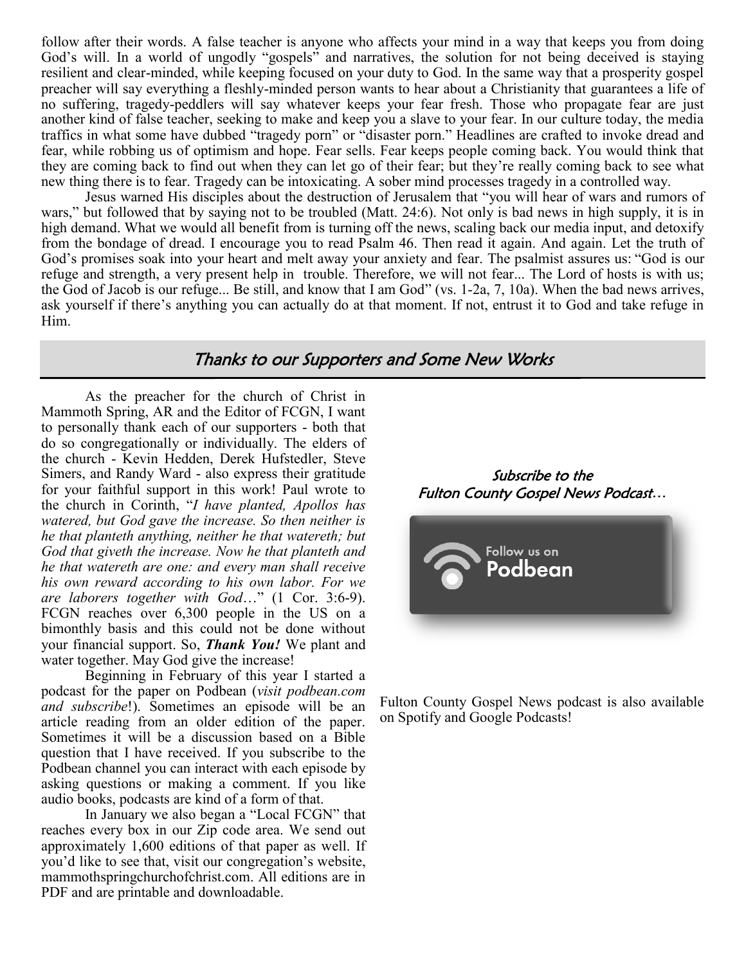follow after their words. A false teacher is anyone who affects your mind in a way that keeps you from doing God's will. In a world of ungodly "gospels" and narratives, the solution for not being deceived is staying resilient and clear-minded, while keeping focused on your duty to God. In the same way that a prosperity gospel preacher will say everything a fleshly-minded person wants to hear about a Christianity that guarantees a life of no suffering, tragedy-peddlers will say whatever keeps your fear fresh. Those who propagate fear are just another kind of false teacher, seeking to make and keep you a slave to your fear. In our culture today, the media traffics in what some have dubbed "tragedy porn" or "disaster porn." Headlines are crafted to invoke dread and fear, while robbing us of optimism and hope. Fear sells. Fear keeps people coming back. You would think that they are coming back to find out when they can let go of their fear; but they're really coming back to see what new thing there is to fear. Tragedy can be intoxicating. A sober mind processes tragedy in a controlled way.

Jesus warned His disciples about the destruction of Jerusalem that "you will hear of wars and rumors of wars," but followed that by saying not to be troubled (Matt. 24:6). Not only is bad news in high supply, it is in high demand. What we would all benefit from is turning off the news, scaling back our media input, and detoxify from the bondage of dread. I encourage you to read Psalm 46. Then read it again. And again. Let the truth of God's promises soak into your heart and melt away your anxiety and fear. The psalmist assures us: "God is our refuge and strength, a very present help in trouble. Therefore, we will not fear... The Lord of hosts is with us; the God of Jacob is our refuge... Be still, and know that I am God" (vs. 1-2a, 7, 10a). When the bad news arrives, ask yourself if there's anything you can actually do at that moment. If not, entrust it to God and take refuge in Him.

# Thanks to our Supporters and Some New Works

As the preacher for the church of Christ in Mammoth Spring, AR and the Editor of FCGN, I want to personally thank each of our supporters - both that do so congregationally or individually. The elders of the church - Kevin Hedden, Derek Hufstedler, Steve Simers, and Randy Ward - also express their gratitude for your faithful support in this work! Paul wrote to the church in Corinth, "*I have planted, Apollos has watered, but God gave the increase. So then neither is he that planteth anything, neither he that watereth; but God that giveth the increase. Now he that planteth and he that watereth are one: and every man shall receive his own reward according to his own labor. For we are laborers together with God*…" (1 Cor. 3:6-9). FCGN reaches over 6,300 people in the US on a bimonthly basis and this could not be done without your financial support. So, *Thank You!* We plant and water together. May God give the increase!

Beginning in February of this year I started a podcast for the paper on Podbean (*visit podbean.com and subscribe*!). Sometimes an episode will be an article reading from an older edition of the paper. Sometimes it will be a discussion based on a Bible question that I have received. If you subscribe to the Podbean channel you can interact with each episode by asking questions or making a comment. If you like audio books, podcasts are kind of a form of that.

In January we also began a "Local FCGN" that reaches every box in our Zip code area. We send out approximately 1,600 editions of that paper as well. If you'd like to see that, visit our congregation's website, mammothspringchurchofchrist.com. All editions are in PDF and are printable and downloadable.





Fulton County Gospel News podcast is also available on Spotify and Google Podcasts!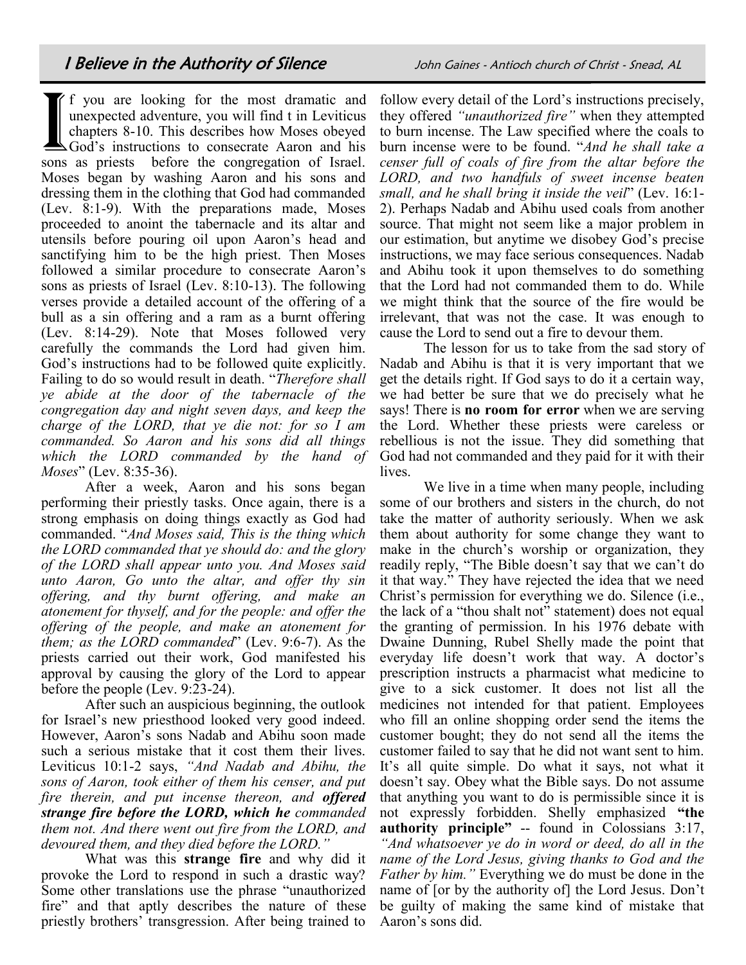If you are looking for the most dramatic and unexpected adventure, you will find t in Leviticus chapters 8-10. This describes how Moses obeyed God's instructions to consecrate Aaron and his sons as priests before the congr f you are looking for the most dramatic and unexpected adventure, you will find t in Leviticus chapters 8-10. This describes how Moses obeyed God's instructions to consecrate Aaron and his Moses began by washing Aaron and his sons and dressing them in the clothing that God had commanded (Lev. 8:1-9). With the preparations made, Moses proceeded to anoint the tabernacle and its altar and utensils before pouring oil upon Aaron's head and sanctifying him to be the high priest. Then Moses followed a similar procedure to consecrate Aaron's sons as priests of Israel (Lev. 8:10-13). The following verses provide a detailed account of the offering of a bull as a sin offering and a ram as a burnt offering (Lev. 8:14-29). Note that Moses followed very carefully the commands the Lord had given him. God's instructions had to be followed quite explicitly. Failing to do so would result in death. "*Therefore shall ye abide at the door of the tabernacle of the congregation day and night seven days, and keep the charge of the LORD, that ye die not: for so I am commanded. So Aaron and his sons did all things which the LORD commanded by the hand of Moses*" (Lev. 8:35-36).

After a week, Aaron and his sons began performing their priestly tasks. Once again, there is a strong emphasis on doing things exactly as God had commanded. "*And Moses said, This is the thing which the LORD commanded that ye should do: and the glory of the LORD shall appear unto you. And Moses said unto Aaron, Go unto the altar, and offer thy sin offering, and thy burnt offering, and make an atonement for thyself, and for the people: and offer the offering of the people, and make an atonement for them; as the LORD commanded*" (Lev. 9:6-7). As the priests carried out their work, God manifested his approval by causing the glory of the Lord to appear before the people (Lev. 9:23-24).

After such an auspicious beginning, the outlook for Israel's new priesthood looked very good indeed. However, Aaron's sons Nadab and Abihu soon made such a serious mistake that it cost them their lives. Leviticus 10:1-2 says, *"And Nadab and Abihu, the sons of Aaron, took either of them his censer, and put fire therein, and put incense thereon, and offered strange fire before the LORD, which he commanded them not. And there went out fire from the LORD, and devoured them, and they died before the LORD."* 

What was this **strange fire** and why did it provoke the Lord to respond in such a drastic way? Some other translations use the phrase "unauthorized fire" and that aptly describes the nature of these priestly brothers' transgression. After being trained to

follow every detail of the Lord's instructions precisely, they offered *"unauthorized fire"* when they attempted to burn incense. The Law specified where the coals to burn incense were to be found. "*And he shall take a censer full of coals of fire from the altar before the LORD, and two handfuls of sweet incense beaten small, and he shall bring it inside the veil*" (Lev. 16:1- 2). Perhaps Nadab and Abihu used coals from another source. That might not seem like a major problem in our estimation, but anytime we disobey God's precise instructions, we may face serious consequences. Nadab and Abihu took it upon themselves to do something that the Lord had not commanded them to do. While we might think that the source of the fire would be irrelevant, that was not the case. It was enough to cause the Lord to send out a fire to devour them.

The lesson for us to take from the sad story of Nadab and Abihu is that it is very important that we get the details right. If God says to do it a certain way, we had better be sure that we do precisely what he says! There is **no room for error** when we are serving the Lord. Whether these priests were careless or rebellious is not the issue. They did something that God had not commanded and they paid for it with their lives.

We live in a time when many people, including some of our brothers and sisters in the church, do not take the matter of authority seriously. When we ask them about authority for some change they want to make in the church's worship or organization, they readily reply, "The Bible doesn't say that we can't do it that way." They have rejected the idea that we need Christ's permission for everything we do. Silence (i.e., the lack of a "thou shalt not" statement) does not equal the granting of permission. In his 1976 debate with Dwaine Dunning, Rubel Shelly made the point that everyday life doesn't work that way. A doctor's prescription instructs a pharmacist what medicine to give to a sick customer. It does not list all the medicines not intended for that patient. Employees who fill an online shopping order send the items the customer bought; they do not send all the items the customer failed to say that he did not want sent to him. It's all quite simple. Do what it says, not what it doesn't say. Obey what the Bible says. Do not assume that anything you want to do is permissible since it is not expressly forbidden. Shelly emphasized **"the authority principle"** -- found in Colossians 3:17, *"And whatsoever ye do in word or deed, do all in the name of the Lord Jesus, giving thanks to God and the Father by him."* Everything we do must be done in the name of [or by the authority of] the Lord Jesus. Don't be guilty of making the same kind of mistake that Aaron's sons did.